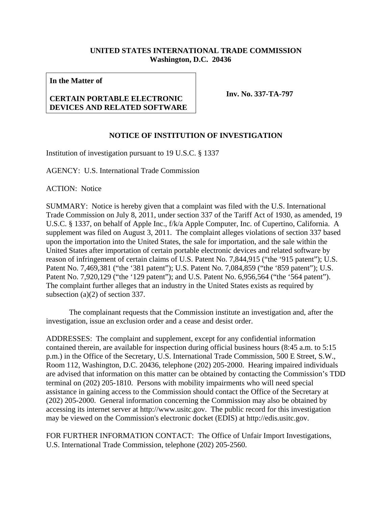## **UNITED STATES INTERNATIONAL TRADE COMMISSION Washington, D.C. 20436**

**In the Matter of** 

## **CERTAIN PORTABLE ELECTRONIC DEVICES AND RELATED SOFTWARE**

**Inv. No. 337-TA-797**

## **NOTICE OF INSTITUTION OF INVESTIGATION**

Institution of investigation pursuant to 19 U.S.C. § 1337

AGENCY: U.S. International Trade Commission

ACTION: Notice

SUMMARY: Notice is hereby given that a complaint was filed with the U.S. International Trade Commission on July 8, 2011, under section 337 of the Tariff Act of 1930, as amended, 19 U.S.C. § 1337, on behalf of Apple Inc., f/k/a Apple Computer, Inc. of Cupertino, California. A supplement was filed on August 3, 2011. The complaint alleges violations of section 337 based upon the importation into the United States, the sale for importation, and the sale within the United States after importation of certain portable electronic devices and related software by reason of infringement of certain claims of U.S. Patent No. 7,844,915 ("the '915 patent"); U.S. Patent No. 7,469,381 ("the '381 patent"); U.S. Patent No. 7,084,859 ("the '859 patent"); U.S. Patent No. 7,920,129 ("the '129 patent"); and U.S. Patent No. 6,956,564 ("the '564 patent"). The complaint further alleges that an industry in the United States exists as required by subsection (a)(2) of section 337.

 The complainant requests that the Commission institute an investigation and, after the investigation, issue an exclusion order and a cease and desist order.

ADDRESSES: The complaint and supplement, except for any confidential information contained therein, are available for inspection during official business hours (8:45 a.m. to 5:15 p.m.) in the Office of the Secretary, U.S. International Trade Commission, 500 E Street, S.W., Room 112, Washington, D.C. 20436, telephone (202) 205-2000. Hearing impaired individuals are advised that information on this matter can be obtained by contacting the Commission's TDD terminal on (202) 205-1810. Persons with mobility impairments who will need special assistance in gaining access to the Commission should contact the Office of the Secretary at (202) 205-2000. General information concerning the Commission may also be obtained by accessing its internet server at http://www.usitc.gov. The public record for this investigation may be viewed on the Commission's electronic docket (EDIS) at http://edis.usitc.gov.

FOR FURTHER INFORMATION CONTACT: The Office of Unfair Import Investigations, U.S. International Trade Commission, telephone (202) 205-2560.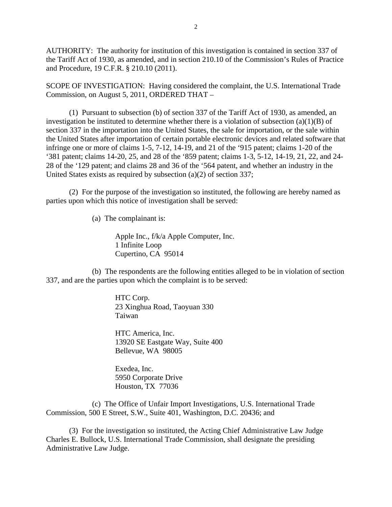AUTHORITY: The authority for institution of this investigation is contained in section 337 of the Tariff Act of 1930, as amended, and in section 210.10 of the Commission's Rules of Practice and Procedure, 19 C.F.R. § 210.10 (2011).

SCOPE OF INVESTIGATION: Having considered the complaint, the U.S. International Trade Commission, on August 5, 2011, ORDERED THAT –

 (1) Pursuant to subsection (b) of section 337 of the Tariff Act of 1930, as amended, an investigation be instituted to determine whether there is a violation of subsection  $(a)(1)(B)$  of section 337 in the importation into the United States, the sale for importation, or the sale within the United States after importation of certain portable electronic devices and related software that infringe one or more of claims 1-5, 7-12, 14-19, and 21 of the '915 patent; claims 1-20 of the '381 patent; claims 14-20, 25, and 28 of the '859 patent; claims 1-3, 5-12, 14-19, 21, 22, and 24- 28 of the '129 patent; and claims 28 and 36 of the '564 patent, and whether an industry in the United States exists as required by subsection (a)(2) of section 337;

 (2) For the purpose of the investigation so instituted, the following are hereby named as parties upon which this notice of investigation shall be served:

(a) The complainant is:

 Apple Inc., f/k/a Apple Computer, Inc. 1 Infinite Loop Cupertino, CA 95014

 (b) The respondents are the following entities alleged to be in violation of section 337, and are the parties upon which the complaint is to be served:

> HTC Corp. 23 Xinghua Road, Taoyuan 330 Taiwan

 HTC America, Inc. 13920 SE Eastgate Way, Suite 400 Bellevue, WA 98005

 Exedea, Inc. 5950 Corporate Drive Houston, TX 77036

 (c) The Office of Unfair Import Investigations, U.S. International Trade Commission, 500 E Street, S.W., Suite 401, Washington, D.C. 20436; and

 (3) For the investigation so instituted, the Acting Chief Administrative Law Judge Charles E. Bullock, U.S. International Trade Commission, shall designate the presiding Administrative Law Judge.